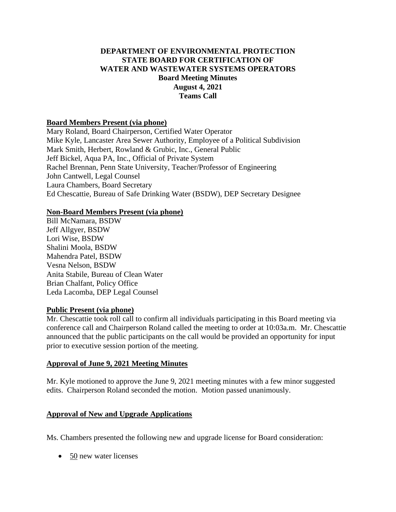# **DEPARTMENT OF ENVIRONMENTAL PROTECTION STATE BOARD FOR CERTIFICATION OF WATER AND WASTEWATER SYSTEMS OPERATORS Board Meeting Minutes August 4, 2021 Teams Call**

### **Board Members Present (via phone)**

Mary Roland, Board Chairperson, Certified Water Operator Mike Kyle, Lancaster Area Sewer Authority, Employee of a Political Subdivision Mark Smith, Herbert, Rowland & Grubic, Inc., General Public Jeff Bickel, Aqua PA, Inc., Official of Private System Rachel Brennan, Penn State University, Teacher/Professor of Engineering John Cantwell, Legal Counsel Laura Chambers, Board Secretary Ed Chescattie, Bureau of Safe Drinking Water (BSDW), DEP Secretary Designee

### **Non-Board Members Present (via phone)**

Bill McNamara, BSDW Jeff Allgyer, BSDW Lori Wise, BSDW Shalini Moola, BSDW Mahendra Patel, BSDW Vesna Nelson, BSDW Anita Stabile, Bureau of Clean Water Brian Chalfant, Policy Office Leda Lacomba, DEP Legal Counsel

### **Public Present (via phone)**

Mr. Chescattie took roll call to confirm all individuals participating in this Board meeting via conference call and Chairperson Roland called the meeting to order at 10:03a.m. Mr. Chescattie announced that the public participants on the call would be provided an opportunity for input prior to executive session portion of the meeting.

### **Approval of June 9, 2021 Meeting Minutes**

Mr. Kyle motioned to approve the June 9, 2021 meeting minutes with a few minor suggested edits. Chairperson Roland seconded the motion. Motion passed unanimously.

# **Approval of New and Upgrade Applications**

Ms. Chambers presented the following new and upgrade license for Board consideration:

• 50 new water licenses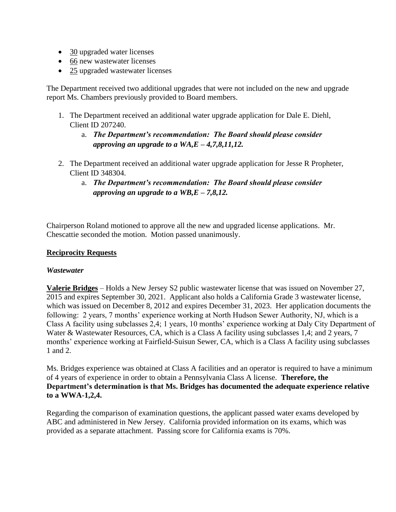- 30 upgraded water licenses
- 66 new wastewater licenses
- 25 upgraded wastewater licenses

The Department received two additional upgrades that were not included on the new and upgrade report Ms. Chambers previously provided to Board members.

- 1. The Department received an additional water upgrade application for Dale E. Diehl, Client ID 207240.
	- a. *The Department's recommendation: The Board should please consider approving an upgrade to a WA,E – 4,7,8,11,12.*
- 2. The Department received an additional water upgrade application for Jesse R Propheter, Client ID 348304.
	- a. *The Department's recommendation: The Board should please consider approving an upgrade to a WB,E – 7,8,12.*

Chairperson Roland motioned to approve all the new and upgraded license applications. Mr. Chescattie seconded the motion. Motion passed unanimously.

## **Reciprocity Requests**

### *Wastewater*

**Valerie Bridges** – Holds a New Jersey S2 public wastewater license that was issued on November 27, 2015 and expires September 30, 2021. Applicant also holds a California Grade 3 wastewater license, which was issued on December 8, 2012 and expires December 31, 2023. Her application documents the following: 2 years, 7 months' experience working at North Hudson Sewer Authority, NJ, which is a Class A facility using subclasses 2,4; 1 years, 10 months' experience working at Daly City Department of Water & Wastewater Resources, CA, which is a Class A facility using subclasses 1,4; and 2 years, 7 months' experience working at Fairfield-Suisun Sewer, CA, which is a Class A facility using subclasses 1 and 2.

Ms. Bridges experience was obtained at Class A facilities and an operator is required to have a minimum of 4 years of experience in order to obtain a Pennsylvania Class A license. **Therefore, the Department's determination is that Ms. Bridges has documented the adequate experience relative to a WWA-1,2,4.** 

Regarding the comparison of examination questions, the applicant passed water exams developed by ABC and administered in New Jersey. California provided information on its exams, which was provided as a separate attachment. Passing score for California exams is 70%.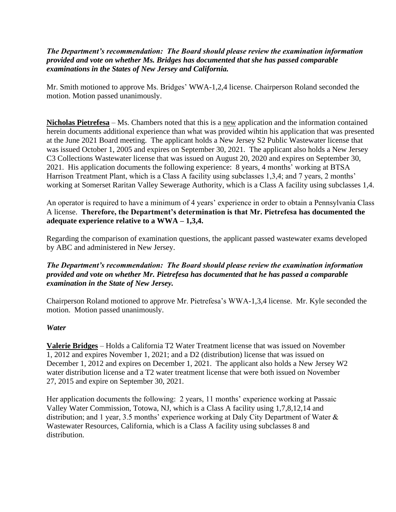## *The Department's recommendation: The Board should please review the examination information provided and vote on whether Ms. Bridges has documented that she has passed comparable examinations in the States of New Jersey and California.*

Mr. Smith motioned to approve Ms. Bridges' WWA-1,2,4 license. Chairperson Roland seconded the motion. Motion passed unanimously.

**Nicholas Pietrefesa** – Ms. Chambers noted that this is a new application and the information contained herein documents additional experience than what was provided wihtin his application that was presented at the June 2021 Board meeting. The applicant holds a New Jersey S2 Public Wastewater license that was issued October 1, 2005 and expires on September 30, 2021. The applicant also holds a New Jersey C3 Collections Wastewater license that was issued on August 20, 2020 and expires on September 30, 2021. His application documents the following experience: 8 years, 4 months' working at BTSA Harrison Treatment Plant, which is a Class A facility using subclasses 1,3,4; and 7 years, 2 months' working at Somerset Raritan Valley Sewerage Authority, which is a Class A facility using subclasses 1,4.

An operator is required to have a minimum of 4 years' experience in order to obtain a Pennsylvania Class A license. **Therefore, the Department's determination is that Mr. Pietrefesa has documented the adequate experience relative to a WWA – 1,3,4.** 

Regarding the comparison of examination questions, the applicant passed wastewater exams developed by ABC and administered in New Jersey.

## *The Department's recommendation: The Board should please review the examination information provided and vote on whether Mr. Pietrefesa has documented that he has passed a comparable examination in the State of New Jersey.*

Chairperson Roland motioned to approve Mr. Pietrefesa's WWA-1,3,4 license. Mr. Kyle seconded the motion. Motion passed unanimously.

# *Water*

**Valerie Bridges** – Holds a California T2 Water Treatment license that was issued on November 1, 2012 and expires November 1, 2021; and a D2 (distribution) license that was issued on December 1, 2012 and expires on December 1, 2021. The applicant also holds a New Jersey W2 water distribution license and a T2 water treatment license that were both issued on November 27, 2015 and expire on September 30, 2021.

Her application documents the following: 2 years, 11 months' experience working at Passaic Valley Water Commission, Totowa, NJ, which is a Class A facility using 1,7,8,12,14 and distribution; and 1 year, 3.5 months' experience working at Daly City Department of Water & Wastewater Resources, California, which is a Class A facility using subclasses 8 and distribution.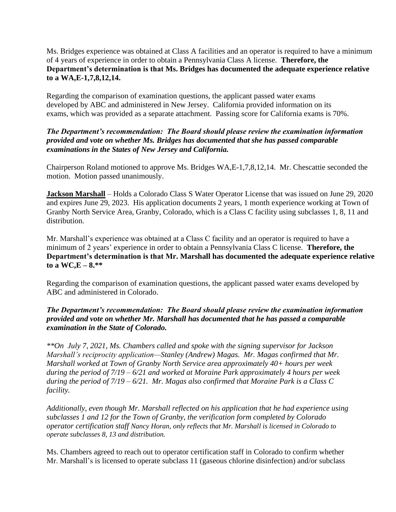Ms. Bridges experience was obtained at Class A facilities and an operator is required to have a minimum of 4 years of experience in order to obtain a Pennsylvania Class A license. **Therefore, the Department's determination is that Ms. Bridges has documented the adequate experience relative to a WA,E-1,7,8,12,14.** 

Regarding the comparison of examination questions, the applicant passed water exams developed by ABC and administered in New Jersey. California provided information on its exams, which was provided as a separate attachment. Passing score for California exams is 70%.

# *The Department's recommendation: The Board should please review the examination information provided and vote on whether Ms. Bridges has documented that she has passed comparable examinations in the States of New Jersey and California.*

Chairperson Roland motioned to approve Ms. Bridges WA,E-1,7,8,12,14. Mr. Chescattie seconded the motion. Motion passed unanimously.

**Jackson Marshall** – Holds a Colorado Class S Water Operator License that was issued on June 29, 2020 and expires June 29, 2023. His application documents 2 years, 1 month experience working at Town of Granby North Service Area, Granby, Colorado, which is a Class C facility using subclasses 1, 8, 11 and distribution.

Mr. Marshall's experience was obtained at a Class C facility and an operator is required to have a minimum of 2 years' experience in order to obtain a Pennsylvania Class C license. **Therefore, the Department's determination is that Mr. Marshall has documented the adequate experience relative**   $\text{to a WC,E} - 8.**$ 

Regarding the comparison of examination questions, the applicant passed water exams developed by ABC and administered in Colorado.

# *The Department's recommendation: The Board should please review the examination information provided and vote on whether Mr. Marshall has documented that he has passed a comparable examination in the State of Colorado.*

*\*\*On July 7, 2021, Ms. Chambers called and spoke with the signing supervisor for Jackson Marshall's reciprocity application—Stanley (Andrew) Magas. Mr. Magas confirmed that Mr. Marshall worked at Town of Granby North Service area approximately 40+ hours per week during the period of 7/19 – 6/21 and worked at Moraine Park approximately 4 hours per week during the period of 7/19 – 6/21. Mr. Magas also confirmed that Moraine Park is a Class C facility.* 

*Additionally, even though Mr. Marshall reflected on his application that he had experience using subclasses 1 and 12 for the Town of Granby, the verification form completed by Colorado operator certification staff Nancy Horan, only reflects that Mr. Marshall is licensed in Colorado to operate subclasses 8, 13 and distribution.* 

Ms. Chambers agreed to reach out to operator certification staff in Colorado to confirm whether Mr. Marshall's is licensed to operate subclass 11 (gaseous chlorine disinfection) and/or subclass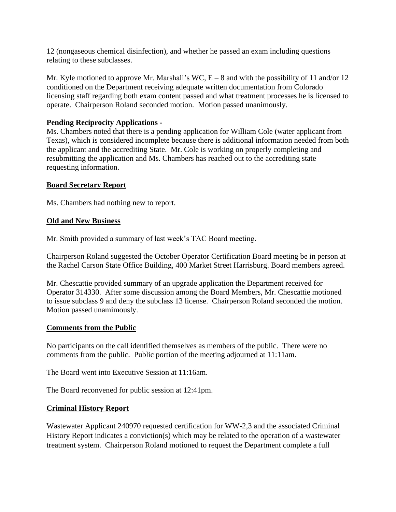12 (nongaseous chemical disinfection), and whether he passed an exam including questions relating to these subclasses.

Mr. Kyle motioned to approve Mr. Marshall's WC,  $E - 8$  and with the possibility of 11 and/or 12 conditioned on the Department receiving adequate written documentation from Colorado licensing staff regarding both exam content passed and what treatment processes he is licensed to operate. Chairperson Roland seconded motion. Motion passed unanimously.

## **Pending Reciprocity Applications -**

Ms. Chambers noted that there is a pending application for William Cole (water applicant from Texas), which is considered incomplete because there is additional information needed from both the applicant and the accrediting State. Mr. Cole is working on properly completing and resubmitting the application and Ms. Chambers has reached out to the accrediting state requesting information.

### **Board Secretary Report**

Ms. Chambers had nothing new to report.

### **Old and New Business**

Mr. Smith provided a summary of last week's TAC Board meeting.

Chairperson Roland suggested the October Operator Certification Board meeting be in person at the Rachel Carson State Office Building, 400 Market Street Harrisburg. Board members agreed.

Mr. Chescattie provided summary of an upgrade application the Department received for Operator 314330. After some discussion among the Board Members, Mr. Chescattie motioned to issue subclass 9 and deny the subclass 13 license. Chairperson Roland seconded the motion. Motion passed unamimously.

### **Comments from the Public**

No participants on the call identified themselves as members of the public. There were no comments from the public. Public portion of the meeting adjourned at 11:11am.

The Board went into Executive Session at 11:16am.

The Board reconvened for public session at 12:41pm.

# **Criminal History Report**

Wastewater Applicant 240970 requested certification for WW-2,3 and the associated Criminal History Report indicates a conviction(s) which may be related to the operation of a wastewater treatment system. Chairperson Roland motioned to request the Department complete a full